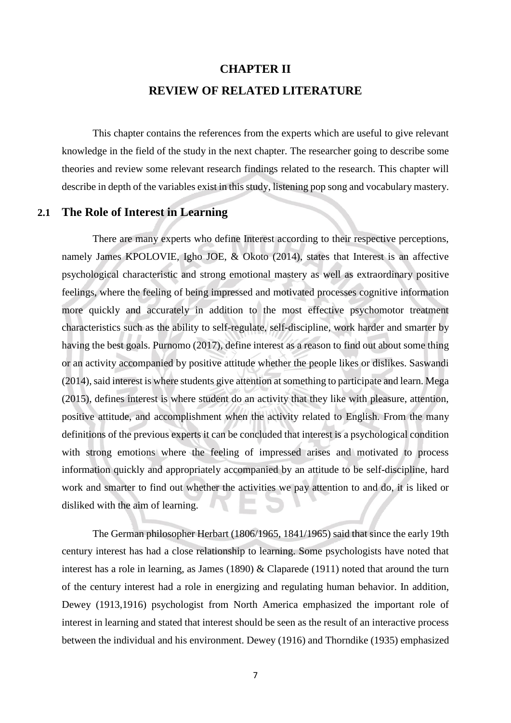# **CHAPTER II REVIEW OF RELATED LITERATURE**

This chapter contains the references from the experts which are useful to give relevant knowledge in the field of the study in the next chapter. The researcher going to describe some theories and review some relevant research findings related to the research. This chapter will describe in depth of the variables exist in this study, listening pop song and vocabulary mastery.

### **2.1 The Role of Interest in Learning**

There are many experts who define Interest according to their respective perceptions, namely James KPOLOVIE, Igho JOE, & Okoto (2014), states that Interest is an affective psychological characteristic and strong emotional mastery as well as extraordinary positive feelings, where the feeling of being impressed and motivated processes cognitive information more quickly and accurately in addition to the most effective psychomotor treatment characteristics such as the ability to self-regulate, self-discipline, work harder and smarter by having the best goals. Purnomo (2017), define interest as a reason to find out about some thing or an activity accompanied by positive attitude whether the people likes or dislikes. Saswandi (2014), said interest is where students give attention at something to participate and learn. Mega (2015), defines interest is where student do an activity that they like with pleasure, attention, positive attitude, and accomplishment when the activity related to English. From the many definitions of the previous experts it can be concluded that interest is a psychological condition with strong emotions where the feeling of impressed arises and motivated to process information quickly and appropriately accompanied by an attitude to be self-discipline, hard work and smarter to find out whether the activities we pay attention to and do, it is liked or disliked with the aim of learning.

The German philosopher Herbart (1806/1965, 1841/1965) said that since the early 19th century interest has had a close relationship to learning. Some psychologists have noted that interest has a role in learning, as James (1890) & Claparede (1911) noted that around the turn of the century interest had a role in energizing and regulating human behavior. In addition, Dewey (1913,1916) psychologist from North America emphasized the important role of interest in learning and stated that interest should be seen as the result of an interactive process between the individual and his environment. Dewey (1916) and Thorndike (1935) emphasized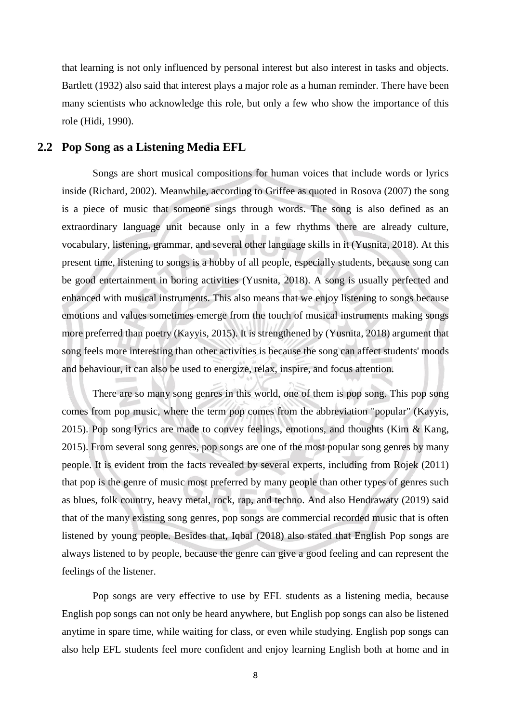that learning is not only influenced by personal interest but also interest in tasks and objects. Bartlett (1932) also said that interest plays a major role as a human reminder. There have been many scientists who acknowledge this role, but only a few who show the importance of this role (Hidi, 1990).

#### **2.2 Pop Song as a Listening Media EFL**

Songs are short musical compositions for human voices that include words or lyrics inside (Richard, 2002). Meanwhile, according to Griffee as quoted in Rosova (2007) the song is a piece of music that someone sings through words. The song is also defined as an extraordinary language unit because only in a few rhythms there are already culture, vocabulary, listening, grammar, and several other language skills in it (Yusnita, 2018). At this present time, listening to songs is a hobby of all people, especially students, because song can be good entertainment in boring activities (Yusnita, 2018). A song is usually perfected and enhanced with musical instruments. This also means that we enjoy listening to songs because emotions and values sometimes emerge from the touch of musical instruments making songs more preferred than poetry (Kayyis, 2015). It is strengthened by (Yusnita, 2018) argument that song feels more interesting than other activities is because the song can affect students' moods and behaviour, it can also be used to energize, relax, inspire, and focus attention.

There are so many song genres in this world, one of them is pop song. This pop song comes from pop music, where the term pop comes from the abbreviation "popular" (Kayyis, 2015). Pop song lyrics are made to convey feelings, emotions, and thoughts (Kim & Kang, 2015). From several song genres, pop songs are one of the most popular song genres by many people. It is evident from the facts revealed by several experts, including from Rojek (2011) that pop is the genre of music most preferred by many people than other types of genres such as blues, folk country, heavy metal, rock, rap, and techno. And also Hendrawaty (2019) said that of the many existing song genres, pop songs are commercial recorded music that is often listened by young people. Besides that, Iqbal (2018) also stated that English Pop songs are always listened to by people, because the genre can give a good feeling and can represent the feelings of the listener.

Pop songs are very effective to use by EFL students as a listening media, because English pop songs can not only be heard anywhere, but English pop songs can also be listened anytime in spare time, while waiting for class, or even while studying. English pop songs can also help EFL students feel more confident and enjoy learning English both at home and in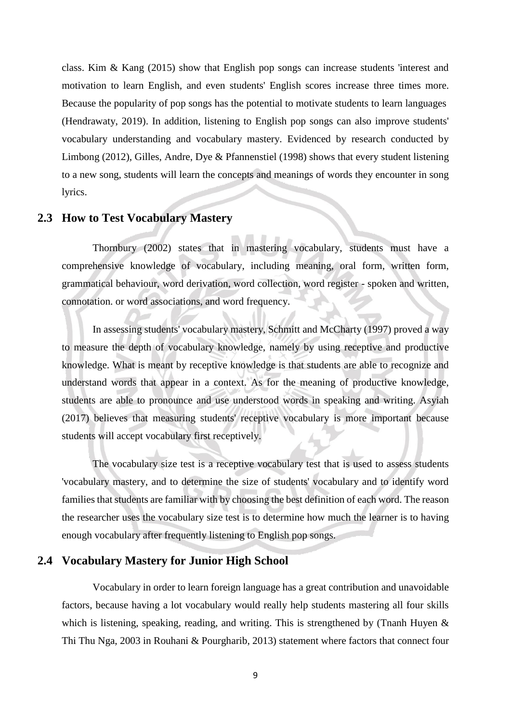class. Kim & Kang (2015) show that English pop songs can increase students 'interest and motivation to learn English, and even students' English scores increase three times more. Because the popularity of pop songs has the potential to motivate students to learn languages (Hendrawaty, 2019). In addition, listening to English pop songs can also improve students' vocabulary understanding and vocabulary mastery. Evidenced by research conducted by Limbong (2012), Gilles, Andre, Dye & Pfannenstiel (1998) shows that every student listening to a new song, students will learn the concepts and meanings of words they encounter in song lyrics.

#### **2.3 How to Test Vocabulary Mastery**

Thornbury (2002) states that in mastering vocabulary, students must have a comprehensive knowledge of vocabulary, including meaning, oral form, written form, grammatical behaviour, word derivation, word collection, word register - spoken and written, connotation. or word associations, and word frequency.

In assessing students' vocabulary mastery, Schmitt and McCharty (1997) proved a way to measure the depth of vocabulary knowledge, namely by using receptive and productive knowledge. What is meant by receptive knowledge is that students are able to recognize and understand words that appear in a context. As for the meaning of productive knowledge, students are able to pronounce and use understood words in speaking and writing. Asyiah (2017) believes that measuring students' receptive vocabulary is more important because students will accept vocabulary first receptively.

The vocabulary size test is a receptive vocabulary test that is used to assess students 'vocabulary mastery, and to determine the size of students' vocabulary and to identify word families that students are familiar with by choosing the best definition of each word. The reason the researcher uses the vocabulary size test is to determine how much the learner is to having enough vocabulary after frequently listening to English pop songs.

## **2.4 Vocabulary Mastery for Junior High School**

Vocabulary in order to learn foreign language has a great contribution and unavoidable factors, because having a lot vocabulary would really help students mastering all four skills which is listening, speaking, reading, and writing. This is strengthened by (Tnanh Huyen & Thi Thu Nga, 2003 in Rouhani & Pourgharib, 2013) statement where factors that connect four